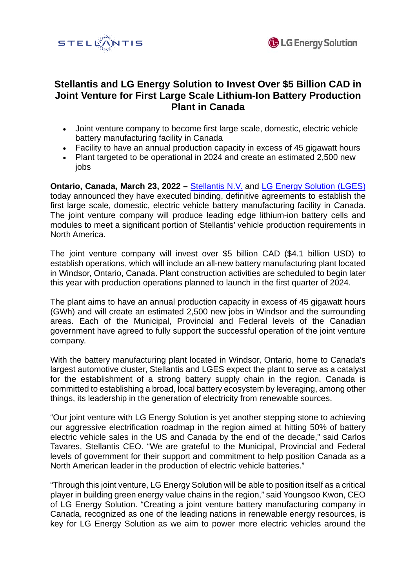



# **Stellantis and LG Energy Solution to Invest Over \$5 Billion CAD in Joint Venture for First Large Scale Lithium-Ion Battery Production Plant in Canada**

- Joint venture company to become first large scale, domestic, electric vehicle battery manufacturing facility in Canada
- Facility to have an annual production capacity in excess of 45 gigawatt hours
- Plant targeted to be operational in 2024 and create an estimated 2,500 new jobs

**Ontario, Canada, March 23, 2022 – [Stellantis N.V.](https://www.stellantis.com/en) and [LG Energy Solution](https://www.lgensol.com/en/index) [\(LGES\)](https://www.lgensol.com/en/index)** today announced they have executed binding, definitive agreements to establish the first large scale, domestic, electric vehicle battery manufacturing facility in Canada. The joint venture company will produce leading edge lithium-ion battery cells and modules to meet a significant portion of Stellantis' vehicle production requirements in North America.

The joint venture company will invest over \$5 billion CAD (\$4.1 billion USD) to establish operations, which will include an all-new battery manufacturing plant located in Windsor, Ontario, Canada. Plant construction activities are scheduled to begin later this year with production operations planned to launch in the first quarter of 2024.

The plant aims to have an annual production capacity in excess of 45 gigawatt hours (GWh) and will create an estimated 2,500 new jobs in Windsor and the surrounding areas. Each of the Municipal, Provincial and Federal levels of the Canadian government have agreed to fully support the successful operation of the joint venture company.

With the battery manufacturing plant located in Windsor, Ontario, home to Canada's largest automotive cluster, Stellantis and LGES expect the plant to serve as a catalyst for the establishment of a strong battery supply chain in the region. Canada is committed to establishing a broad, local battery ecosystem by leveraging, among other things, its leadership in the generation of electricity from renewable sources.

"Our joint venture with LG Energy Solution is yet another stepping stone to achieving our aggressive electrification roadmap in the region aimed at hitting 50% of battery electric vehicle sales in the US and Canada by the end of the decade," said Carlos Tavares, Stellantis CEO. "We are grateful to the Municipal, Provincial and Federal levels of government for their support and commitment to help position Canada as a North American leader in the production of electric vehicle batteries."

"Through this joint venture, LG Energy Solution will be able to position itself as a critical player in building green energy value chains in the region," said Youngsoo Kwon, CEO of LG Energy Solution. "Creating a joint venture battery manufacturing company in Canada, recognized as one of the leading nations in renewable energy resources, is key for LG Energy Solution as we aim to power more electric vehicles around the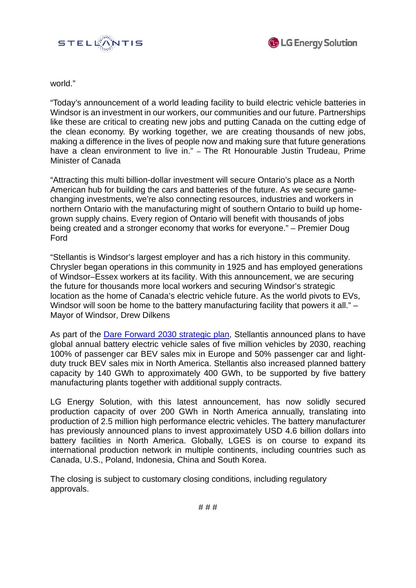



world."

"Today's announcement of a world leading facility to build electric vehicle batteries in Windsor is an investment in our workers, our communities and our future. Partnerships like these are critical to creating new jobs and putting Canada on the cutting edge of the clean economy. By working together, we are creating thousands of new jobs, making a difference in the lives of people now and making sure that future generations have a clean environment to live in." – The Rt Honourable Justin Trudeau, Prime Minister of Canada

"Attracting this multi billion-dollar investment will secure Ontario's place as a North American hub for building the cars and batteries of the future. As we secure gamechanging investments, we're also connecting resources, industries and workers in northern Ontario with the manufacturing might of southern Ontario to build up homegrown supply chains. Every region of Ontario will benefit with thousands of jobs being created and a stronger economy that works for everyone." – Premier Doug Ford

"Stellantis is Windsor's largest employer and has a rich history in this community. Chrysler began operations in this community in 1925 and has employed generations of Windsor–Essex workers at its facility. With this announcement, we are securing the future for thousands more local workers and securing Windsor's strategic location as the home of Canada's electric vehicle future. As the world pivots to EVs, Windsor will soon be home to the battery manufacturing facility that powers it all." – Mayor of Windsor, Drew Dilkens

As part of the [Dare Forward 2030 strategic plan,](https://www.stellantis.com/en/investors/events/strategic-plan) Stellantis announced plans to have global annual battery electric vehicle sales of five million vehicles by 2030, reaching 100% of passenger car BEV sales mix in Europe and 50% passenger car and lightduty truck BEV sales mix in North America. Stellantis also increased planned battery capacity by 140 GWh to approximately 400 GWh, to be supported by five battery manufacturing plants together with additional supply contracts.

LG Energy Solution, with this latest announcement, has now solidly secured production capacity of over 200 GWh in North America annually, translating into production of 2.5 million high performance electric vehicles. The battery manufacturer has previously announced plans to invest approximately USD 4.6 billion dollars into battery facilities in North America. Globally, LGES is on course to expand its international production network in multiple continents, including countries such as Canada, U.S., Poland, Indonesia, China and South Korea.

The closing is subject to customary closing conditions, including regulatory approvals.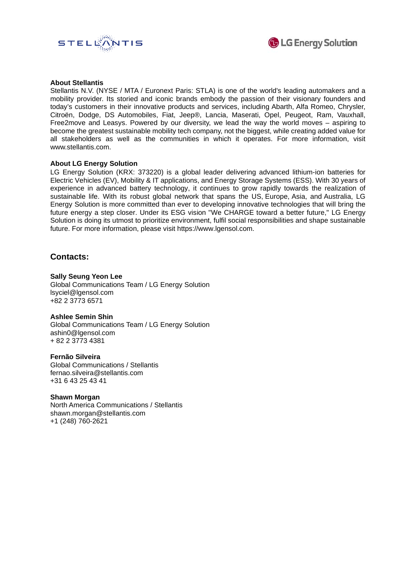



### **About Stellantis**

Stellantis N.V. (NYSE / MTA / Euronext Paris: STLA) is one of the world's leading automakers and a mobility provider. Its storied and iconic brands embody the passion of their visionary founders and today's customers in their innovative products and services, including Abarth, Alfa Romeo, Chrysler, Citroën, Dodge, DS Automobiles, Fiat, Jeep®, Lancia, Maserati, Opel, Peugeot, Ram, Vauxhall, Free2move and Leasys. Powered by our diversity, we lead the way the world moves – aspiring to become the greatest sustainable mobility tech company, not the biggest, while creating added value for all stakeholders as well as the communities in which it operates. For more information, visit www.stellantis.com.

# **About LG Energy Solution**

LG Energy Solution (KRX: 373220) is a global leader delivering advanced lithium-ion batteries for Electric Vehicles (EV), Mobility & IT applications, and Energy Storage Systems (ESS). With 30 years of experience in advanced battery technology, it continues to grow rapidly towards the realization of sustainable life. With its robust global network that spans the US, Europe, Asia, and Australia, LG Energy Solution is more committed than ever to developing innovative technologies that will bring the future energy a step closer. Under its ESG vision "We CHARGE toward a better future," LG Energy Solution is doing its utmost to prioritize environment, fulfil social responsibilities and shape sustainable future. For more information, please visit https://www.lgensol.com.

# **Contacts:**

# **Sally Seung Yeon Lee**

Global Communications Team / LG Energy Solution lsyciel@lgensol.com +82 2 3773 6571

#### **Ashlee Semin Shin**

Global Communications Team / LG Energy Solution [ashin0@lgensol.com](mailto:ashin0@lgensol.com) + 82 2 3773 4381

#### **Fernão Silveira**

Global Communications / Stellantis fernao.silveira@stellantis.com +31 6 43 25 43 41

# **Shawn Morgan**

North America Communications / Stellantis shawn.morgan@stellantis.com +1 (248) 760-2621